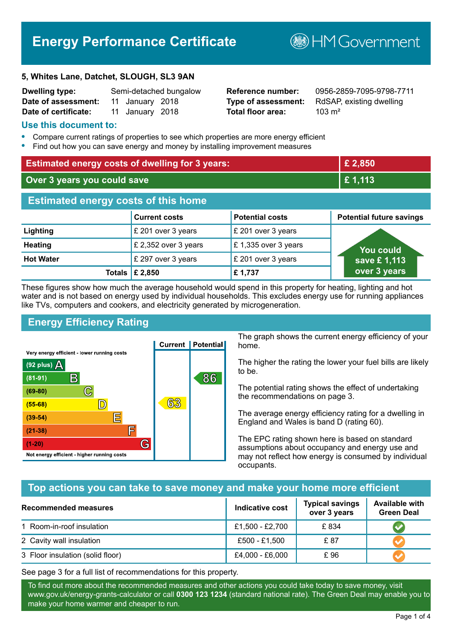# **Energy Performance Certificate**

#### **5, Whites Lane, Datchet, SLOUGH, SL3 9AN**

| <b>Dwelling type:</b> |                 | Semi-detached bungalow |
|-----------------------|-----------------|------------------------|
| Date of assessment:   | 11 January 2018 |                        |
| Date of certificate:  | 11 January 2018 |                        |

# **Total floor area:** 103 m<sup>2</sup>

**Reference number:** 0956-2859-7095-9798-7711 **Type of assessment:** RdSAP, existing dwelling

**BHM Government** 

### **Use this document to:**

- **•** Compare current ratings of properties to see which properties are more energy efficient
- **•** Find out how you can save energy and money by installing improvement measures

| <b>Estimated energy costs of dwelling for 3 years:</b> |                                 |                        | £ 2,850                         |  |
|--------------------------------------------------------|---------------------------------|------------------------|---------------------------------|--|
| Over 3 years you could save                            |                                 |                        | £1,113                          |  |
| <b>Estimated energy costs of this home</b>             |                                 |                        |                                 |  |
|                                                        | <b>Current costs</b>            | <b>Potential costs</b> | <b>Potential future savings</b> |  |
| Lighting                                               | £ 201 over 3 years              | £ 201 over 3 years     |                                 |  |
| <b>Heating</b>                                         | £ 2,352 over 3 years            | £1,335 over 3 years    | <u>You could</u>                |  |
| <b>Hot Water</b>                                       | £ 297 over 3 years              | £ 201 over 3 years     | save £1,113                     |  |
|                                                        | Totals $\mathbf \epsilon$ 2,850 | £1,737                 | over 3 years                    |  |

These figures show how much the average household would spend in this property for heating, lighting and hot water and is not based on energy used by individual households. This excludes energy use for running appliances like TVs, computers and cookers, and electricity generated by microgeneration.

# **Energy Efficiency Rating**



The graph shows the current energy efficiency of your home.

The higher the rating the lower your fuel bills are likely to be.

The potential rating shows the effect of undertaking the recommendations on page 3.

The average energy efficiency rating for a dwelling in England and Wales is band D (rating 60).

The EPC rating shown here is based on standard assumptions about occupancy and energy use and may not reflect how energy is consumed by individual occupants.

# **Top actions you can take to save money and make your home more efficient**

| <b>Recommended measures</b>      | Indicative cost | <b>Typical savings</b><br>over 3 years | <b>Available with</b><br><b>Green Deal</b> |
|----------------------------------|-----------------|----------------------------------------|--------------------------------------------|
| 1 Room-in-roof insulation        | £1,500 - £2,700 | £834                                   |                                            |
| 2 Cavity wall insulation         | £500 - £1,500   | £ 87                                   |                                            |
| 3 Floor insulation (solid floor) | £4,000 - £6,000 | £96                                    |                                            |

See page 3 for a full list of recommendations for this property.

To find out more about the recommended measures and other actions you could take today to save money, visit www.gov.uk/energy-grants-calculator or call **0300 123 1234** (standard national rate). The Green Deal may enable you to make your home warmer and cheaper to run.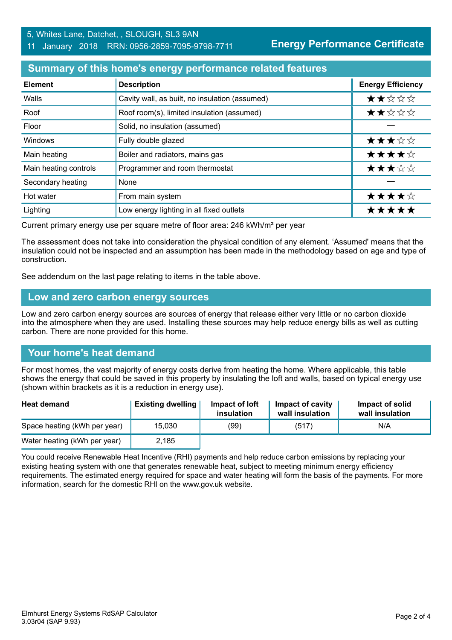# 5, Whites Lane, Datchet, , SLOUGH, SL3 9AN 11 January 2018 RRN: 0956-2859-7095-9798-7711

**Energy Performance Certificate**

## **Summary of this home's energy performance related features**

| <b>Element</b>        | <b>Description</b>                             | <b>Energy Efficiency</b> |
|-----------------------|------------------------------------------------|--------------------------|
| Walls                 | Cavity wall, as built, no insulation (assumed) | ★★☆☆☆                    |
| Roof                  | Roof room(s), limited insulation (assumed)     | ★★☆☆☆                    |
| Floor                 | Solid, no insulation (assumed)                 |                          |
| Windows               | Fully double glazed                            | ★★★☆☆                    |
| Main heating          | Boiler and radiators, mains gas                | ★★★★☆                    |
| Main heating controls | Programmer and room thermostat                 | ★★★☆☆                    |
| Secondary heating     | None                                           |                          |
| Hot water             | From main system                               | ★★★★☆                    |
| Lighting              | Low energy lighting in all fixed outlets       | *****                    |

Current primary energy use per square metre of floor area: 246 kWh/m² per year

The assessment does not take into consideration the physical condition of any element. 'Assumed' means that the insulation could not be inspected and an assumption has been made in the methodology based on age and type of construction.

See addendum on the last page relating to items in the table above.

#### **Low and zero carbon energy sources**

Low and zero carbon energy sources are sources of energy that release either very little or no carbon dioxide into the atmosphere when they are used. Installing these sources may help reduce energy bills as well as cutting carbon. There are none provided for this home.

# **Your home's heat demand**

For most homes, the vast majority of energy costs derive from heating the home. Where applicable, this table shows the energy that could be saved in this property by insulating the loft and walls, based on typical energy use (shown within brackets as it is a reduction in energy use).

| <b>Heat demand</b>           | <b>Existing dwelling</b> | Impact of loft<br>insulation | Impact of cavity<br>wall insulation | Impact of solid<br>wall insulation |
|------------------------------|--------------------------|------------------------------|-------------------------------------|------------------------------------|
| Space heating (kWh per year) | 15.030                   | (99)                         | (517)                               | N/A                                |
| Water heating (kWh per year) | 2,185                    |                              |                                     |                                    |

You could receive Renewable Heat Incentive (RHI) payments and help reduce carbon emissions by replacing your existing heating system with one that generates renewable heat, subject to meeting minimum energy efficiency requirements. The estimated energy required for space and water heating will form the basis of the payments. For more information, search for the domestic RHI on the www.gov.uk website.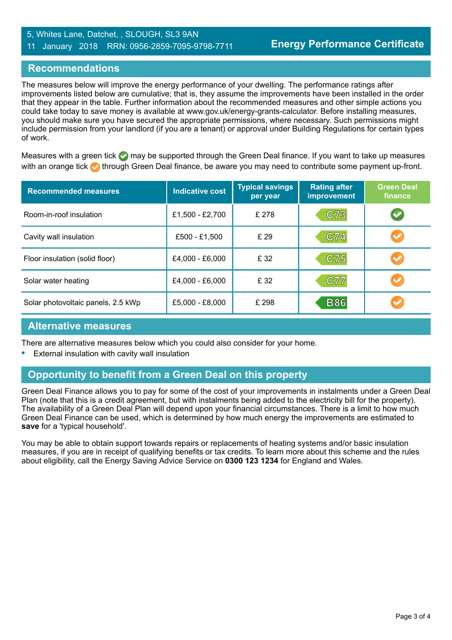## 5, Whites Lane, Datchet, , SLOUGH, SL3 9AN 11 January 2018 RRN: 0956-2859-7095-9798-7711

# **Recommendations**

The measures below will improve the energy performance of your dwelling. The performance ratings after improvements listed below are cumulative; that is, they assume the improvements have been installed in the order that they appear in the table. Further information about the recommended measures and other simple actions you could take today to save money is available at www.gov.uk/energy-grants-calculator. Before installing measures, you should make sure you have secured the appropriate permissions, where necessary. Such permissions might include permission from your landlord (if you are a tenant) or approval under Building Regulations for certain types of work.

Measures with a green tick  $\bullet$  may be supported through the Green Deal finance. If you want to take up measures with an orange tick **th** through Green Deal finance, be aware you may need to contribute some payment up-front.

| <b>Recommended measures</b>        | <b>Indicative cost</b> | <b>Typical savings</b><br>per year | <b>Rating after</b><br>improvement | <b>Green Deal</b><br>finance |
|------------------------------------|------------------------|------------------------------------|------------------------------------|------------------------------|
| Room-in-roof insulation            | £1,500 - £2,700        | £ 278                              | C73                                | $\blacktriangledown$         |
| Cavity wall insulation             | £500 - £1,500          | £ 29                               | C74                                | $\blacktriangledown$         |
| Floor insulation (solid floor)     | £4,000 - £6,000        | £ 32                               | C75                                |                              |
| Solar water heating                | £4,000 - £6,000        | £ 32                               | C77                                |                              |
| Solar photovoltaic panels, 2.5 kWp | £5,000 - £8,000        | £ 298                              | <b>B86</b>                         |                              |

## **Alternative measures**

There are alternative measures below which you could also consider for your home.

**•** External insulation with cavity wall insulation

# **Opportunity to benefit from a Green Deal on this property**

Green Deal Finance allows you to pay for some of the cost of your improvements in instalments under a Green Deal Plan (note that this is a credit agreement, but with instalments being added to the electricity bill for the property). The availability of a Green Deal Plan will depend upon your financial circumstances. There is a limit to how much Green Deal Finance can be used, which is determined by how much energy the improvements are estimated to **save** for a 'typical household'.

You may be able to obtain support towards repairs or replacements of heating systems and/or basic insulation measures, if you are in receipt of qualifying benefits or tax credits. To learn more about this scheme and the rules about eligibility, call the Energy Saving Advice Service on **0300 123 1234** for England and Wales.